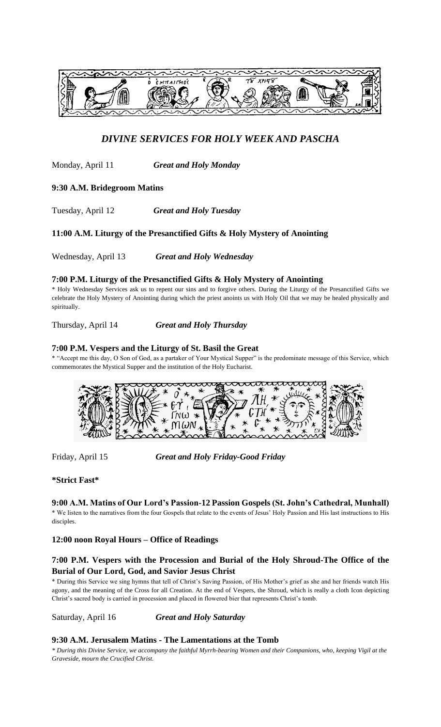

# *DIVINE SERVICES FOR HOLY WEEK AND PASCHA*

Monday, April 11 *Great and Holy Monday*

### **9:30 A.M. Bridegroom Matins**

Tuesday, April 12 *Great and Holy Tuesday*

### **11:00 A.M. Liturgy of the Presanctified Gifts & Holy Mystery of Anointing**

Wednesday, April 13 *Great and Holy Wednesday*

### **7:00 P.M. Liturgy of the Presanctified Gifts & Holy Mystery of Anointing**

\* Holy Wednesday Services ask us to repent our sins and to forgive others. During the Liturgy of the Presanctified Gifts we celebrate the Holy Mystery of Anointing during which the priest anoints us with Holy Oil that we may be healed physically and spiritually.

Thursday, April 14 *Great and Holy Thursday*

### **7:00 P.M. Vespers and the Liturgy of St. Basil the Great**

\* "Accept me this day, O Son of God, as a partaker of Your Mystical Supper" is the predominate message of this Service, which commemorates the Mystical Supper and the institution of the Holy Eucharist.



Friday, April 15 *Great and Holy Friday-Good Friday*

**\*Strict Fast\***

**9:00 A.M. Matins of Our Lord's Passion-12 Passion Gospels (St. John's Cathedral, Munhall)** \* We listen to the narratives from the four Gospels that relate to the events of Jesus' Holy Passion and His last instructions to His disciples.

### **12:00 noon Royal Hours – Office of Readings**

# **7:00 P.M. Vespers with the Procession and Burial of the Holy Shroud-The Office of the Burial of Our Lord, God, and Savior Jesus Christ**

\* During this Service we sing hymns that tell of Christ's Saving Passion, of His Mother's grief as she and her friends watch His agony, and the meaning of the Cross for all Creation. At the end of Vespers, the Shroud, which is really a cloth Icon depicting Christ's sacred body is carried in procession and placed in flowered bier that represents Christ's tomb.

Saturday, April 16 *Great and Holy Saturday* 

### **9:30 A.M. Jerusalem Matins - The Lamentations at the Tomb**

*\* During this Divine Service, we accompany the faithful Myrrh-bearing Women and their Companions, who, keeping Vigil at the Graveside, mourn the Crucified Christ.*